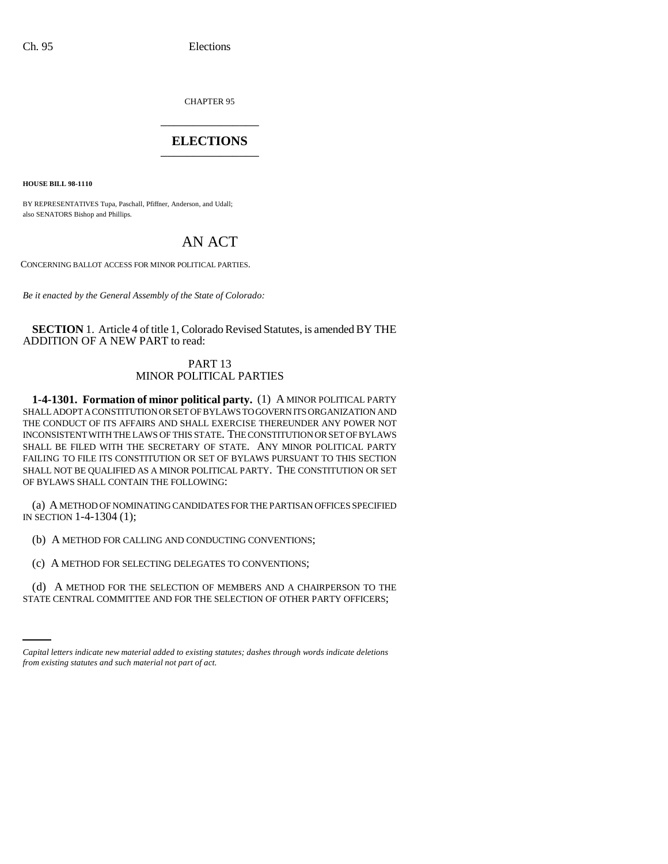CHAPTER 95 \_\_\_\_\_\_\_\_\_\_\_\_\_\_\_

# **ELECTIONS** \_\_\_\_\_\_\_\_\_\_\_\_\_\_\_

**HOUSE BILL 98-1110**

BY REPRESENTATIVES Tupa, Paschall, Pfiffner, Anderson, and Udall; also SENATORS Bishop and Phillips.

# AN ACT

CONCERNING BALLOT ACCESS FOR MINOR POLITICAL PARTIES.

*Be it enacted by the General Assembly of the State of Colorado:*

**SECTION** 1. Article 4 of title 1, Colorado Revised Statutes, is amended BY THE ADDITION OF A NEW PART to read:

## PART 13 MINOR POLITICAL PARTIES

**1-4-1301. Formation of minor political party.** (1) A MINOR POLITICAL PARTY SHALL ADOPT A CONSTITUTION OR SET OF BYLAWS TO GOVERN ITS ORGANIZATION AND THE CONDUCT OF ITS AFFAIRS AND SHALL EXERCISE THEREUNDER ANY POWER NOT INCONSISTENT WITH THE LAWS OF THIS STATE. THE CONSTITUTION OR SET OF BYLAWS SHALL BE FILED WITH THE SECRETARY OF STATE. ANY MINOR POLITICAL PARTY FAILING TO FILE ITS CONSTITUTION OR SET OF BYLAWS PURSUANT TO THIS SECTION SHALL NOT BE QUALIFIED AS A MINOR POLITICAL PARTY. THE CONSTITUTION OR SET OF BYLAWS SHALL CONTAIN THE FOLLOWING:

(a) A METHOD OF NOMINATING CANDIDATES FOR THE PARTISAN OFFICES SPECIFIED IN SECTION 1-4-1304 (1);

(b) A METHOD FOR CALLING AND CONDUCTING CONVENTIONS;

(c) A METHOD FOR SELECTING DELEGATES TO CONVENTIONS;

(d) A METHOD FOR THE SELECTION OF MEMBERS AND A CHAIRPERSON TO THE STATE CENTRAL COMMITTEE AND FOR THE SELECTION OF OTHER PARTY OFFICERS;

*Capital letters indicate new material added to existing statutes; dashes through words indicate deletions from existing statutes and such material not part of act.*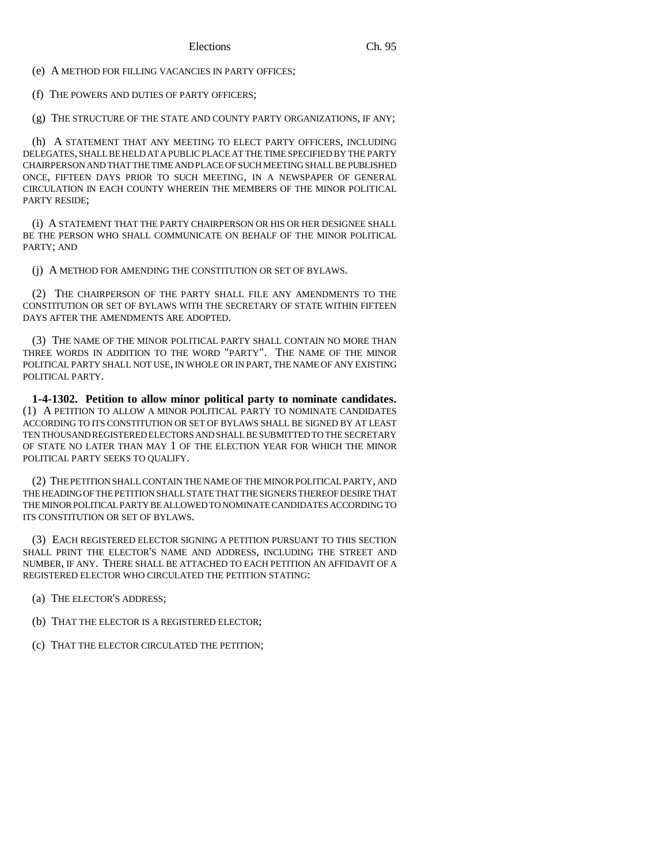(e) A METHOD FOR FILLING VACANCIES IN PARTY OFFICES;

(f) THE POWERS AND DUTIES OF PARTY OFFICERS;

(g) THE STRUCTURE OF THE STATE AND COUNTY PARTY ORGANIZATIONS, IF ANY;

(h) A STATEMENT THAT ANY MEETING TO ELECT PARTY OFFICERS, INCLUDING DELEGATES, SHALL BE HELD AT A PUBLIC PLACE AT THE TIME SPECIFIED BY THE PARTY CHAIRPERSON AND THAT THE TIME AND PLACE OF SUCH MEETING SHALL BE PUBLISHED ONCE, FIFTEEN DAYS PRIOR TO SUCH MEETING, IN A NEWSPAPER OF GENERAL CIRCULATION IN EACH COUNTY WHEREIN THE MEMBERS OF THE MINOR POLITICAL PARTY RESIDE;

(i) A STATEMENT THAT THE PARTY CHAIRPERSON OR HIS OR HER DESIGNEE SHALL BE THE PERSON WHO SHALL COMMUNICATE ON BEHALF OF THE MINOR POLITICAL PARTY; AND

(j) A METHOD FOR AMENDING THE CONSTITUTION OR SET OF BYLAWS.

(2) THE CHAIRPERSON OF THE PARTY SHALL FILE ANY AMENDMENTS TO THE CONSTITUTION OR SET OF BYLAWS WITH THE SECRETARY OF STATE WITHIN FIFTEEN DAYS AFTER THE AMENDMENTS ARE ADOPTED.

(3) THE NAME OF THE MINOR POLITICAL PARTY SHALL CONTAIN NO MORE THAN THREE WORDS IN ADDITION TO THE WORD "PARTY". THE NAME OF THE MINOR POLITICAL PARTY SHALL NOT USE, IN WHOLE OR IN PART, THE NAME OF ANY EXISTING POLITICAL PARTY.

**1-4-1302. Petition to allow minor political party to nominate candidates.** (1) A PETITION TO ALLOW A MINOR POLITICAL PARTY TO NOMINATE CANDIDATES ACCORDING TO ITS CONSTITUTION OR SET OF BYLAWS SHALL BE SIGNED BY AT LEAST TEN THOUSAND REGISTERED ELECTORS AND SHALL BE SUBMITTED TO THE SECRETARY OF STATE NO LATER THAN MAY 1 OF THE ELECTION YEAR FOR WHICH THE MINOR POLITICAL PARTY SEEKS TO QUALIFY.

(2) THE PETITION SHALL CONTAIN THE NAME OF THE MINOR POLITICAL PARTY, AND THE HEADING OF THE PETITION SHALL STATE THAT THE SIGNERS THEREOF DESIRE THAT THE MINOR POLITICAL PARTY BE ALLOWED TO NOMINATE CANDIDATES ACCORDING TO ITS CONSTITUTION OR SET OF BYLAWS.

(3) EACH REGISTERED ELECTOR SIGNING A PETITION PURSUANT TO THIS SECTION SHALL PRINT THE ELECTOR'S NAME AND ADDRESS, INCLUDING THE STREET AND NUMBER, IF ANY. THERE SHALL BE ATTACHED TO EACH PETITION AN AFFIDAVIT OF A REGISTERED ELECTOR WHO CIRCULATED THE PETITION STATING:

(a) THE ELECTOR'S ADDRESS;

(b) THAT THE ELECTOR IS A REGISTERED ELECTOR;

(c) THAT THE ELECTOR CIRCULATED THE PETITION;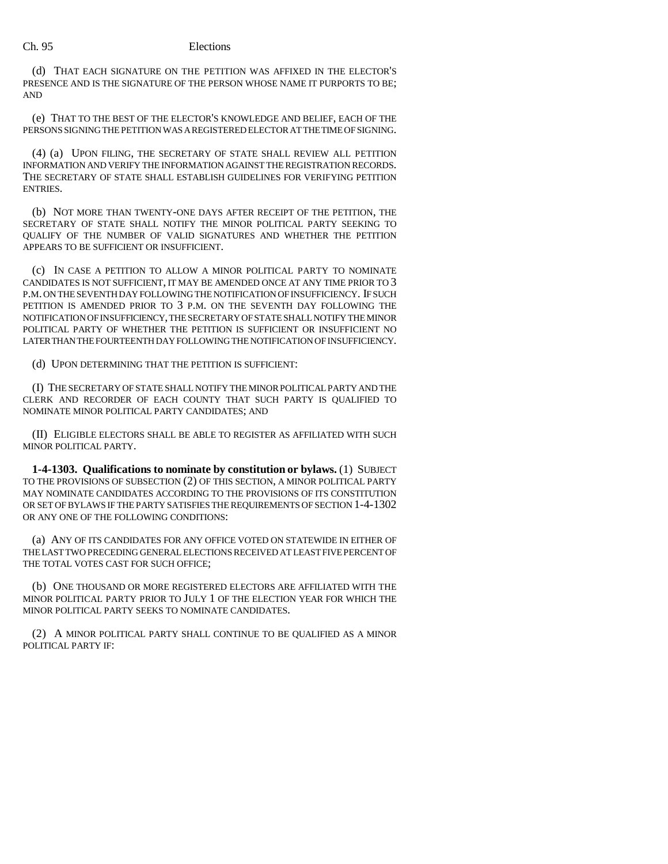(d) THAT EACH SIGNATURE ON THE PETITION WAS AFFIXED IN THE ELECTOR'S PRESENCE AND IS THE SIGNATURE OF THE PERSON WHOSE NAME IT PURPORTS TO BE; AND

(e) THAT TO THE BEST OF THE ELECTOR'S KNOWLEDGE AND BELIEF, EACH OF THE PERSONS SIGNING THE PETITION WAS A REGISTERED ELECTOR AT THE TIME OF SIGNING.

(4) (a) UPON FILING, THE SECRETARY OF STATE SHALL REVIEW ALL PETITION INFORMATION AND VERIFY THE INFORMATION AGAINST THE REGISTRATION RECORDS. THE SECRETARY OF STATE SHALL ESTABLISH GUIDELINES FOR VERIFYING PETITION ENTRIES.

(b) NOT MORE THAN TWENTY-ONE DAYS AFTER RECEIPT OF THE PETITION, THE SECRETARY OF STATE SHALL NOTIFY THE MINOR POLITICAL PARTY SEEKING TO QUALIFY OF THE NUMBER OF VALID SIGNATURES AND WHETHER THE PETITION APPEARS TO BE SUFFICIENT OR INSUFFICIENT.

(c) IN CASE A PETITION TO ALLOW A MINOR POLITICAL PARTY TO NOMINATE CANDIDATES IS NOT SUFFICIENT, IT MAY BE AMENDED ONCE AT ANY TIME PRIOR TO 3 P.M. ON THE SEVENTH DAY FOLLOWING THE NOTIFICATION OF INSUFFICIENCY. IF SUCH PETITION IS AMENDED PRIOR TO 3 P.M. ON THE SEVENTH DAY FOLLOWING THE NOTIFICATION OF INSUFFICIENCY, THE SECRETARY OF STATE SHALL NOTIFY THE MINOR POLITICAL PARTY OF WHETHER THE PETITION IS SUFFICIENT OR INSUFFICIENT NO LATER THAN THE FOURTEENTH DAY FOLLOWING THE NOTIFICATION OF INSUFFICIENCY.

(d) UPON DETERMINING THAT THE PETITION IS SUFFICIENT:

(I) THE SECRETARY OF STATE SHALL NOTIFY THE MINOR POLITICAL PARTY AND THE CLERK AND RECORDER OF EACH COUNTY THAT SUCH PARTY IS QUALIFIED TO NOMINATE MINOR POLITICAL PARTY CANDIDATES; AND

(II) ELIGIBLE ELECTORS SHALL BE ABLE TO REGISTER AS AFFILIATED WITH SUCH MINOR POLITICAL PARTY.

**1-4-1303. Qualifications to nominate by constitution or bylaws.** (1) SUBJECT TO THE PROVISIONS OF SUBSECTION (2) OF THIS SECTION, A MINOR POLITICAL PARTY MAY NOMINATE CANDIDATES ACCORDING TO THE PROVISIONS OF ITS CONSTITUTION OR SET OF BYLAWS IF THE PARTY SATISFIES THE REQUIREMENTS OF SECTION 1-4-1302 OR ANY ONE OF THE FOLLOWING CONDITIONS:

(a) ANY OF ITS CANDIDATES FOR ANY OFFICE VOTED ON STATEWIDE IN EITHER OF THE LAST TWO PRECEDING GENERAL ELECTIONS RECEIVED AT LEAST FIVE PERCENT OF THE TOTAL VOTES CAST FOR SUCH OFFICE;

(b) ONE THOUSAND OR MORE REGISTERED ELECTORS ARE AFFILIATED WITH THE MINOR POLITICAL PARTY PRIOR TO JULY 1 OF THE ELECTION YEAR FOR WHICH THE MINOR POLITICAL PARTY SEEKS TO NOMINATE CANDIDATES.

(2) A MINOR POLITICAL PARTY SHALL CONTINUE TO BE QUALIFIED AS A MINOR POLITICAL PARTY IF: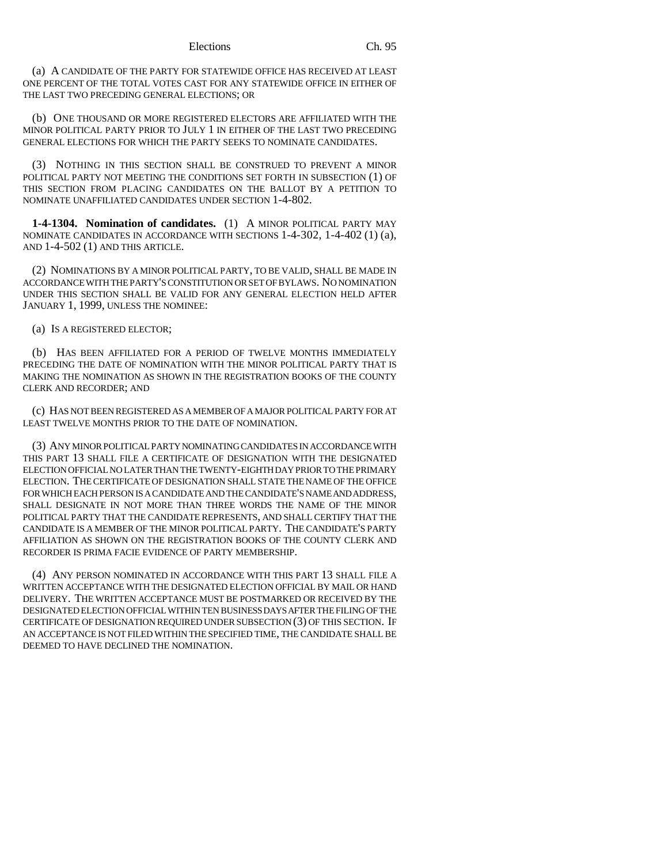#### Elections Ch. 95

(a) A CANDIDATE OF THE PARTY FOR STATEWIDE OFFICE HAS RECEIVED AT LEAST ONE PERCENT OF THE TOTAL VOTES CAST FOR ANY STATEWIDE OFFICE IN EITHER OF THE LAST TWO PRECEDING GENERAL ELECTIONS; OR

(b) ONE THOUSAND OR MORE REGISTERED ELECTORS ARE AFFILIATED WITH THE MINOR POLITICAL PARTY PRIOR TO JULY 1 IN EITHER OF THE LAST TWO PRECEDING GENERAL ELECTIONS FOR WHICH THE PARTY SEEKS TO NOMINATE CANDIDATES.

(3) NOTHING IN THIS SECTION SHALL BE CONSTRUED TO PREVENT A MINOR POLITICAL PARTY NOT MEETING THE CONDITIONS SET FORTH IN SUBSECTION (1) OF THIS SECTION FROM PLACING CANDIDATES ON THE BALLOT BY A PETITION TO NOMINATE UNAFFILIATED CANDIDATES UNDER SECTION 1-4-802.

**1-4-1304. Nomination of candidates.** (1) A MINOR POLITICAL PARTY MAY NOMINATE CANDIDATES IN ACCORDANCE WITH SECTIONS 1-4-302, 1-4-402 (1) (a), AND 1-4-502 (1) AND THIS ARTICLE.

(2) NOMINATIONS BY A MINOR POLITICAL PARTY, TO BE VALID, SHALL BE MADE IN ACCORDANCE WITH THE PARTY'S CONSTITUTION OR SET OF BYLAWS. NO NOMINATION UNDER THIS SECTION SHALL BE VALID FOR ANY GENERAL ELECTION HELD AFTER JANUARY 1, 1999, UNLESS THE NOMINEE:

(a) IS A REGISTERED ELECTOR;

(b) HAS BEEN AFFILIATED FOR A PERIOD OF TWELVE MONTHS IMMEDIATELY PRECEDING THE DATE OF NOMINATION WITH THE MINOR POLITICAL PARTY THAT IS MAKING THE NOMINATION AS SHOWN IN THE REGISTRATION BOOKS OF THE COUNTY CLERK AND RECORDER; AND

(c) HAS NOT BEEN REGISTERED AS A MEMBER OF A MAJOR POLITICAL PARTY FOR AT LEAST TWELVE MONTHS PRIOR TO THE DATE OF NOMINATION.

(3) ANY MINOR POLITICAL PARTY NOMINATING CANDIDATES IN ACCORDANCE WITH THIS PART 13 SHALL FILE A CERTIFICATE OF DESIGNATION WITH THE DESIGNATED ELECTION OFFICIAL NO LATER THAN THE TWENTY-EIGHTH DAY PRIOR TO THE PRIMARY ELECTION. THE CERTIFICATE OF DESIGNATION SHALL STATE THE NAME OF THE OFFICE FOR WHICH EACH PERSON IS A CANDIDATE AND THE CANDIDATE'S NAME AND ADDRESS, SHALL DESIGNATE IN NOT MORE THAN THREE WORDS THE NAME OF THE MINOR POLITICAL PARTY THAT THE CANDIDATE REPRESENTS, AND SHALL CERTIFY THAT THE CANDIDATE IS A MEMBER OF THE MINOR POLITICAL PARTY. THE CANDIDATE'S PARTY AFFILIATION AS SHOWN ON THE REGISTRATION BOOKS OF THE COUNTY CLERK AND RECORDER IS PRIMA FACIE EVIDENCE OF PARTY MEMBERSHIP.

(4) ANY PERSON NOMINATED IN ACCORDANCE WITH THIS PART 13 SHALL FILE A WRITTEN ACCEPTANCE WITH THE DESIGNATED ELECTION OFFICIAL BY MAIL OR HAND DELIVERY. THE WRITTEN ACCEPTANCE MUST BE POSTMARKED OR RECEIVED BY THE DESIGNATED ELECTION OFFICIAL WITHIN TEN BUSINESS DAYS AFTER THE FILING OF THE CERTIFICATE OF DESIGNATION REQUIRED UNDER SUBSECTION (3) OF THIS SECTION. IF AN ACCEPTANCE IS NOT FILED WITHIN THE SPECIFIED TIME, THE CANDIDATE SHALL BE DEEMED TO HAVE DECLINED THE NOMINATION.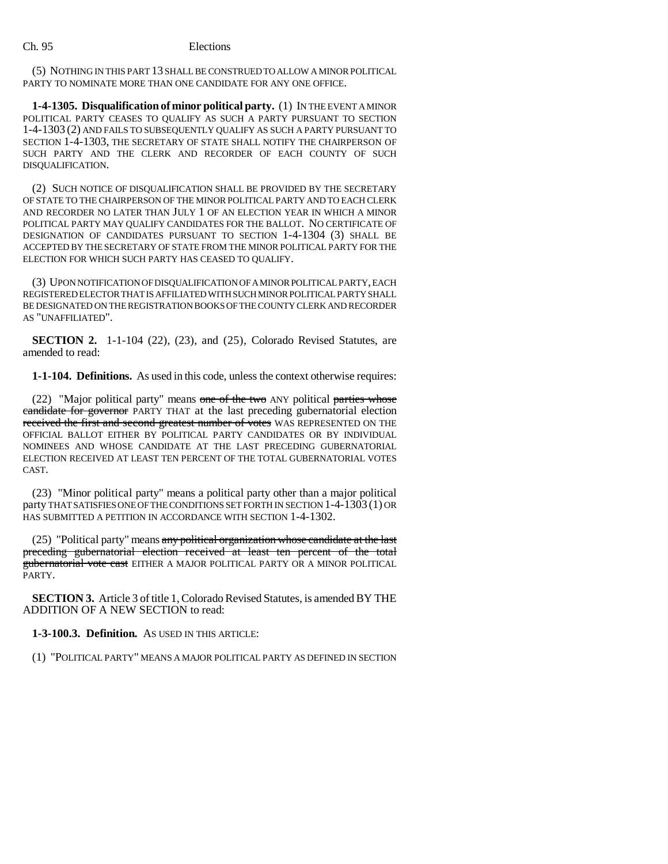(5) NOTHING IN THIS PART 13 SHALL BE CONSTRUED TO ALLOW A MINOR POLITICAL PARTY TO NOMINATE MORE THAN ONE CANDIDATE FOR ANY ONE OFFICE.

**1-4-1305. Disqualification of minor political party.** (1) IN THE EVENT A MINOR POLITICAL PARTY CEASES TO QUALIFY AS SUCH A PARTY PURSUANT TO SECTION 1-4-1303 (2) AND FAILS TO SUBSEQUENTLY QUALIFY AS SUCH A PARTY PURSUANT TO SECTION 1-4-1303, THE SECRETARY OF STATE SHALL NOTIFY THE CHAIRPERSON OF SUCH PARTY AND THE CLERK AND RECORDER OF EACH COUNTY OF SUCH DISQUALIFICATION.

(2) SUCH NOTICE OF DISQUALIFICATION SHALL BE PROVIDED BY THE SECRETARY OF STATE TO THE CHAIRPERSON OF THE MINOR POLITICAL PARTY AND TO EACH CLERK AND RECORDER NO LATER THAN JULY 1 OF AN ELECTION YEAR IN WHICH A MINOR POLITICAL PARTY MAY QUALIFY CANDIDATES FOR THE BALLOT. NO CERTIFICATE OF DESIGNATION OF CANDIDATES PURSUANT TO SECTION 1-4-1304 (3) SHALL BE ACCEPTED BY THE SECRETARY OF STATE FROM THE MINOR POLITICAL PARTY FOR THE ELECTION FOR WHICH SUCH PARTY HAS CEASED TO QUALIFY.

(3) UPON NOTIFICATION OF DISQUALIFICATION OF A MINOR POLITICAL PARTY, EACH REGISTERED ELECTOR THAT IS AFFILIATED WITH SUCH MINOR POLITICAL PARTY SHALL BE DESIGNATED ON THE REGISTRATION BOOKS OF THE COUNTY CLERK AND RECORDER AS "UNAFFILIATED".

**SECTION 2.** 1-1-104 (22), (23), and (25), Colorado Revised Statutes, are amended to read:

**1-1-104. Definitions.** As used in this code, unless the context otherwise requires:

(22) "Major political party" means one of the two ANY political parties whose candidate for governor PARTY THAT at the last preceding gubernatorial election received the first and second greatest number of votes WAS REPRESENTED ON THE OFFICIAL BALLOT EITHER BY POLITICAL PARTY CANDIDATES OR BY INDIVIDUAL NOMINEES AND WHOSE CANDIDATE AT THE LAST PRECEDING GUBERNATORIAL ELECTION RECEIVED AT LEAST TEN PERCENT OF THE TOTAL GUBERNATORIAL VOTES CAST.

(23) "Minor political party" means a political party other than a major political party THAT SATISFIES ONE OF THE CONDITIONS SET FORTH IN SECTION 1-4-1303 (1) OR HAS SUBMITTED A PETITION IN ACCORDANCE WITH SECTION 1-4-1302.

(25) "Political party" means any political organization whose candidate at the last preceding gubernatorial election received at least ten percent of the total gubernatorial vote cast EITHER A MAJOR POLITICAL PARTY OR A MINOR POLITICAL PARTY.

**SECTION 3.** Article 3 of title 1, Colorado Revised Statutes, is amended BY THE ADDITION OF A NEW SECTION to read:

**1-3-100.3. Definition.** AS USED IN THIS ARTICLE:

(1) "POLITICAL PARTY" MEANS A MAJOR POLITICAL PARTY AS DEFINED IN SECTION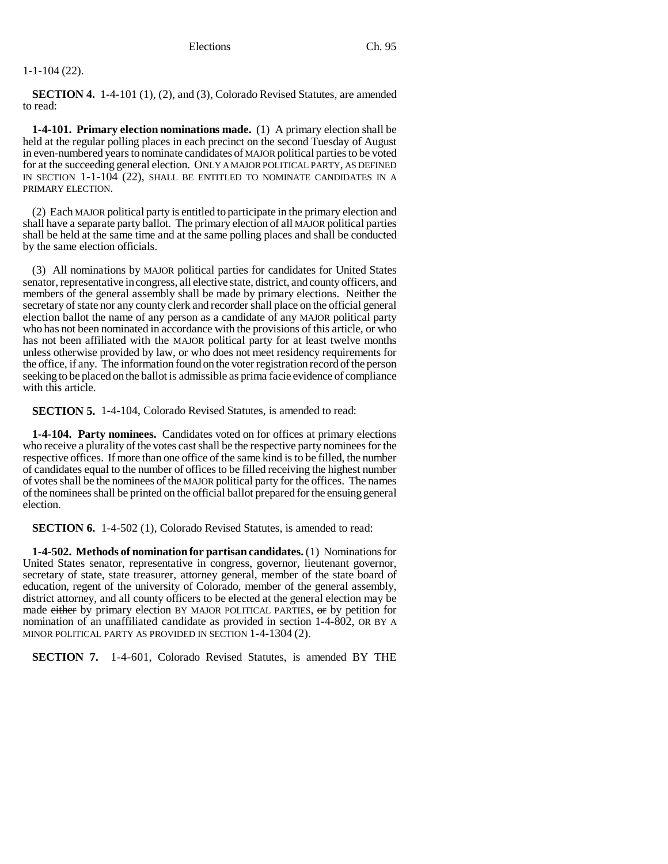#### 1-1-104 (22).

**SECTION 4.** 1-4-101 (1), (2), and (3), Colorado Revised Statutes, are amended to read:

**1-4-101. Primary election nominations made.** (1) A primary election shall be held at the regular polling places in each precinct on the second Tuesday of August in even-numbered years to nominate candidates of MAJOR political parties to be voted for at the succeeding general election. ONLY A MAJOR POLITICAL PARTY, AS DEFINED IN SECTION 1-1-104 (22), SHALL BE ENTITLED TO NOMINATE CANDIDATES IN A PRIMARY ELECTION.

(2) Each MAJOR political party is entitled to participate in the primary election and shall have a separate party ballot. The primary election of all MAJOR political parties shall be held at the same time and at the same polling places and shall be conducted by the same election officials.

(3) All nominations by MAJOR political parties for candidates for United States senator, representative in congress, all elective state, district, and county officers, and members of the general assembly shall be made by primary elections. Neither the secretary of state nor any county clerk and recorder shall place on the official general election ballot the name of any person as a candidate of any MAJOR political party who has not been nominated in accordance with the provisions of this article, or who has not been affiliated with the MAJOR political party for at least twelve months unless otherwise provided by law, or who does not meet residency requirements for the office, if any. The information found on the voter registration record of the person seeking to be placed on the ballot is admissible as prima facie evidence of compliance with this article.

**SECTION 5.** 1-4-104, Colorado Revised Statutes, is amended to read:

**1-4-104. Party nominees.** Candidates voted on for offices at primary elections who receive a plurality of the votes cast shall be the respective party nominees for the respective offices. If more than one office of the same kind is to be filled, the number of candidates equal to the number of offices to be filled receiving the highest number of votes shall be the nominees of the MAJOR political party for the offices. The names of the nominees shall be printed on the official ballot prepared for the ensuing general election.

**SECTION 6.** 1-4-502 (1), Colorado Revised Statutes, is amended to read:

**1-4-502. Methods of nomination for partisan candidates.** (1) Nominations for United States senator, representative in congress, governor, lieutenant governor, secretary of state, state treasurer, attorney general, member of the state board of education, regent of the university of Colorado, member of the general assembly, district attorney, and all county officers to be elected at the general election may be made either by primary election BY MAJOR POLITICAL PARTIES, or by petition for nomination of an unaffiliated candidate as provided in section 1-4-802, OR BY A MINOR POLITICAL PARTY AS PROVIDED IN SECTION 1-4-1304 (2).

**SECTION 7.** 1-4-601, Colorado Revised Statutes, is amended BY THE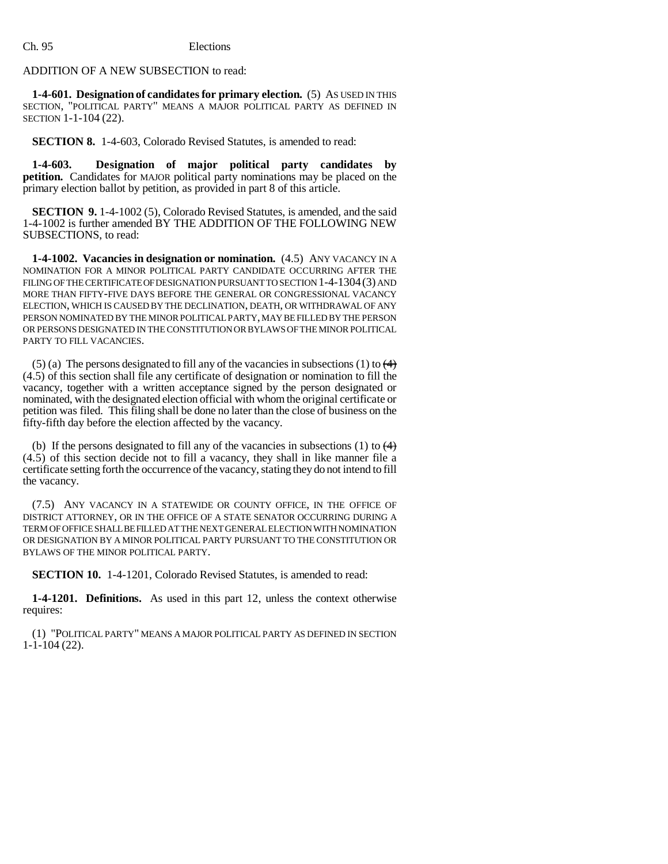## ADDITION OF A NEW SUBSECTION to read:

**1-4-601. Designation of candidates for primary election.** (5) AS USED IN THIS SECTION, "POLITICAL PARTY" MEANS A MAJOR POLITICAL PARTY AS DEFINED IN SECTION 1-1-104 (22).

**SECTION 8.** 1-4-603, Colorado Revised Statutes, is amended to read:

**1-4-603. Designation of major political party candidates by petition.** Candidates for MAJOR political party nominations may be placed on the primary election ballot by petition, as provided in part 8 of this article.

**SECTION 9.** 1-4-1002 (5), Colorado Revised Statutes, is amended, and the said 1-4-1002 is further amended BY THE ADDITION OF THE FOLLOWING NEW SUBSECTIONS, to read:

**1-4-1002. Vacancies in designation or nomination.** (4.5) ANY VACANCY IN A NOMINATION FOR A MINOR POLITICAL PARTY CANDIDATE OCCURRING AFTER THE FILING OF THE CERTIFICATE OF DESIGNATION PURSUANT TO SECTION 1-4-1304(3) AND MORE THAN FIFTY-FIVE DAYS BEFORE THE GENERAL OR CONGRESSIONAL VACANCY ELECTION, WHICH IS CAUSED BY THE DECLINATION, DEATH, OR WITHDRAWAL OF ANY PERSON NOMINATED BY THE MINOR POLITICAL PARTY, MAY BE FILLED BY THE PERSON OR PERSONS DESIGNATED IN THE CONSTITUTION OR BYLAWS OF THE MINOR POLITICAL PARTY TO FILL VACANCIES.

(5) (a) The persons designated to fill any of the vacancies in subsections (1) to  $\left(4\right)$ (4.5) of this section shall file any certificate of designation or nomination to fill the vacancy, together with a written acceptance signed by the person designated or nominated, with the designated election official with whom the original certificate or petition was filed. This filing shall be done no later than the close of business on the fifty-fifth day before the election affected by the vacancy.

(b) If the persons designated to fill any of the vacancies in subsections (1) to  $\leftrightarrow$ (4.5) of this section decide not to fill a vacancy, they shall in like manner file a certificate setting forth the occurrence of the vacancy, stating they do not intend to fill the vacancy.

(7.5) ANY VACANCY IN A STATEWIDE OR COUNTY OFFICE, IN THE OFFICE OF DISTRICT ATTORNEY, OR IN THE OFFICE OF A STATE SENATOR OCCURRING DURING A TERM OF OFFICE SHALL BE FILLED AT THE NEXT GENERAL ELECTION WITH NOMINATION OR DESIGNATION BY A MINOR POLITICAL PARTY PURSUANT TO THE CONSTITUTION OR BYLAWS OF THE MINOR POLITICAL PARTY.

**SECTION 10.** 1-4-1201, Colorado Revised Statutes, is amended to read:

**1-4-1201. Definitions.** As used in this part 12, unless the context otherwise requires:

(1) "POLITICAL PARTY" MEANS A MAJOR POLITICAL PARTY AS DEFINED IN SECTION 1-1-104 (22).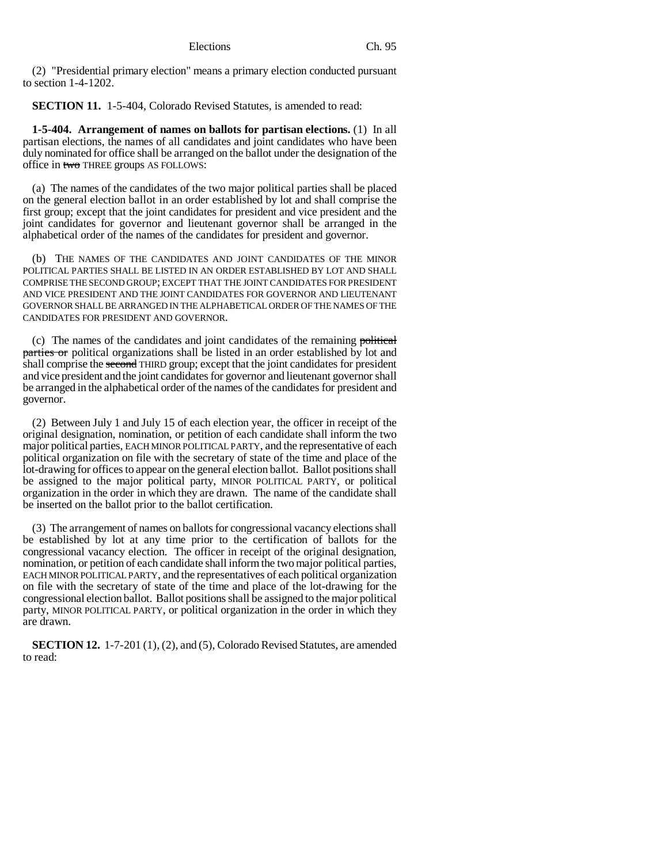(2) "Presidential primary election" means a primary election conducted pursuant to section 1-4-1202.

**SECTION 11.** 1-5-404, Colorado Revised Statutes, is amended to read:

**1-5-404. Arrangement of names on ballots for partisan elections.** (1) In all partisan elections, the names of all candidates and joint candidates who have been duly nominated for office shall be arranged on the ballot under the designation of the office in two THREE groups AS FOLLOWS:

(a) The names of the candidates of the two major political parties shall be placed on the general election ballot in an order established by lot and shall comprise the first group; except that the joint candidates for president and vice president and the joint candidates for governor and lieutenant governor shall be arranged in the alphabetical order of the names of the candidates for president and governor.

(b) THE NAMES OF THE CANDIDATES AND JOINT CANDIDATES OF THE MINOR POLITICAL PARTIES SHALL BE LISTED IN AN ORDER ESTABLISHED BY LOT AND SHALL COMPRISE THE SECOND GROUP; EXCEPT THAT THE JOINT CANDIDATES FOR PRESIDENT AND VICE PRESIDENT AND THE JOINT CANDIDATES FOR GOVERNOR AND LIEUTENANT GOVERNOR SHALL BE ARRANGED IN THE ALPHABETICAL ORDER OF THE NAMES OF THE CANDIDATES FOR PRESIDENT AND GOVERNOR.

(c) The names of the candidates and joint candidates of the remaining political parties or political organizations shall be listed in an order established by lot and shall comprise the second THIRD group; except that the joint candidates for president and vice president and the joint candidates for governor and lieutenant governor shall be arranged in the alphabetical order of the names of the candidates for president and governor.

(2) Between July 1 and July 15 of each election year, the officer in receipt of the original designation, nomination, or petition of each candidate shall inform the two major political parties, EACH MINOR POLITICAL PARTY, and the representative of each political organization on file with the secretary of state of the time and place of the lot-drawing for offices to appear on the general election ballot. Ballot positions shall be assigned to the major political party, MINOR POLITICAL PARTY, or political organization in the order in which they are drawn. The name of the candidate shall be inserted on the ballot prior to the ballot certification.

(3) The arrangement of names on ballots for congressional vacancy elections shall be established by lot at any time prior to the certification of ballots for the congressional vacancy election. The officer in receipt of the original designation, nomination, or petition of each candidate shall inform the two major political parties, EACH MINOR POLITICAL PARTY, and the representatives of each political organization on file with the secretary of state of the time and place of the lot-drawing for the congressional election ballot. Ballot positions shall be assigned to the major political party, MINOR POLITICAL PARTY, or political organization in the order in which they are drawn.

**SECTION 12.** 1-7-201 (1), (2), and (5), Colorado Revised Statutes, are amended to read: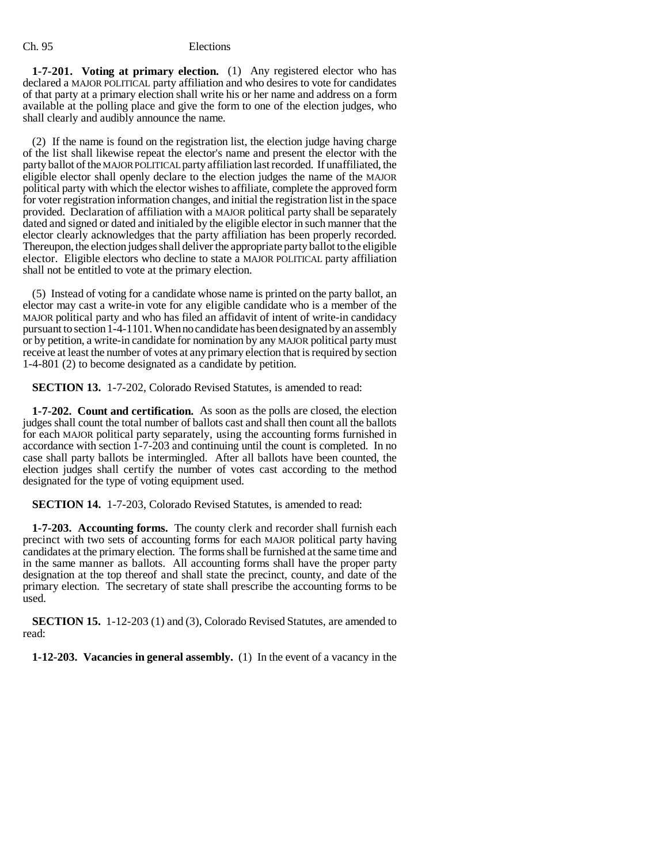**1-7-201. Voting at primary election.** (1) Any registered elector who has declared a MAJOR POLITICAL party affiliation and who desires to vote for candidates of that party at a primary election shall write his or her name and address on a form available at the polling place and give the form to one of the election judges, who shall clearly and audibly announce the name.

(2) If the name is found on the registration list, the election judge having charge of the list shall likewise repeat the elector's name and present the elector with the party ballot of the MAJOR POLITICAL party affiliation last recorded. If unaffiliated, the eligible elector shall openly declare to the election judges the name of the MAJOR political party with which the elector wishes to affiliate, complete the approved form for voter registration information changes, and initial the registration list in the space provided. Declaration of affiliation with a MAJOR political party shall be separately dated and signed or dated and initialed by the eligible elector in such manner that the elector clearly acknowledges that the party affiliation has been properly recorded. Thereupon, the election judges shall deliver the appropriate party ballot to the eligible elector. Eligible electors who decline to state a MAJOR POLITICAL party affiliation shall not be entitled to vote at the primary election.

(5) Instead of voting for a candidate whose name is printed on the party ballot, an elector may cast a write-in vote for any eligible candidate who is a member of the MAJOR political party and who has filed an affidavit of intent of write-in candidacy pursuant to section 1-4-1101. When no candidate has been designated by an assembly or by petition, a write-in candidate for nomination by any MAJOR political party must receive at least the number of votes at any primary election that is required by section 1-4-801 (2) to become designated as a candidate by petition.

**SECTION 13.** 1-7-202, Colorado Revised Statutes, is amended to read:

**1-7-202. Count and certification.** As soon as the polls are closed, the election judges shall count the total number of ballots cast and shall then count all the ballots for each MAJOR political party separately, using the accounting forms furnished in accordance with section 1-7-203 and continuing until the count is completed. In no case shall party ballots be intermingled. After all ballots have been counted, the election judges shall certify the number of votes cast according to the method designated for the type of voting equipment used.

**SECTION 14.** 1-7-203, Colorado Revised Statutes, is amended to read:

**1-7-203. Accounting forms.** The county clerk and recorder shall furnish each precinct with two sets of accounting forms for each MAJOR political party having candidates at the primary election. The forms shall be furnished at the same time and in the same manner as ballots. All accounting forms shall have the proper party designation at the top thereof and shall state the precinct, county, and date of the primary election. The secretary of state shall prescribe the accounting forms to be used.

**SECTION 15.** 1-12-203 (1) and (3), Colorado Revised Statutes, are amended to read:

**1-12-203. Vacancies in general assembly.** (1) In the event of a vacancy in the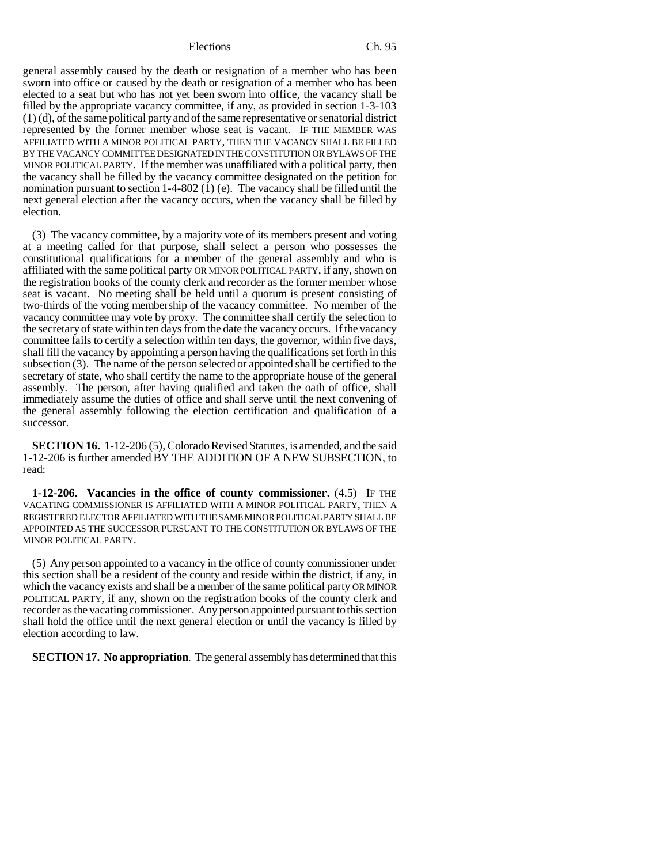#### Elections Ch. 95

general assembly caused by the death or resignation of a member who has been sworn into office or caused by the death or resignation of a member who has been elected to a seat but who has not yet been sworn into office, the vacancy shall be filled by the appropriate vacancy committee, if any, as provided in section 1-3-103 (1) (d), of the same political party and of the same representative or senatorial district represented by the former member whose seat is vacant. IF THE MEMBER WAS AFFILIATED WITH A MINOR POLITICAL PARTY, THEN THE VACANCY SHALL BE FILLED BY THE VACANCY COMMITTEE DESIGNATED IN THE CONSTITUTION OR BYLAWS OF THE MINOR POLITICAL PARTY. If the member was unaffiliated with a political party, then the vacancy shall be filled by the vacancy committee designated on the petition for nomination pursuant to section 1-4-802 (1) (e). The vacancy shall be filled until the next general election after the vacancy occurs, when the vacancy shall be filled by election.

(3) The vacancy committee, by a majority vote of its members present and voting at a meeting called for that purpose, shall select a person who possesses the constitutional qualifications for a member of the general assembly and who is affiliated with the same political party OR MINOR POLITICAL PARTY, if any, shown on the registration books of the county clerk and recorder as the former member whose seat is vacant. No meeting shall be held until a quorum is present consisting of two-thirds of the voting membership of the vacancy committee. No member of the vacancy committee may vote by proxy. The committee shall certify the selection to the secretary of state within ten days from the date the vacancy occurs. If the vacancy committee fails to certify a selection within ten days, the governor, within five days, shall fill the vacancy by appointing a person having the qualifications set forth in this subsection (3). The name of the person selected or appointed shall be certified to the secretary of state, who shall certify the name to the appropriate house of the general assembly. The person, after having qualified and taken the oath of office, shall immediately assume the duties of office and shall serve until the next convening of the general assembly following the election certification and qualification of a successor.

**SECTION 16.** 1-12-206 (5), Colorado Revised Statutes, is amended, and the said 1-12-206 is further amended BY THE ADDITION OF A NEW SUBSECTION, to read:

**1-12-206. Vacancies in the office of county commissioner.** (4.5) IF THE VACATING COMMISSIONER IS AFFILIATED WITH A MINOR POLITICAL PARTY, THEN A REGISTERED ELECTOR AFFILIATED WITH THE SAME MINOR POLITICAL PARTY SHALL BE APPOINTED AS THE SUCCESSOR PURSUANT TO THE CONSTITUTION OR BYLAWS OF THE MINOR POLITICAL PARTY.

(5) Any person appointed to a vacancy in the office of county commissioner under this section shall be a resident of the county and reside within the district, if any, in which the vacancy exists and shall be a member of the same political party OR MINOR POLITICAL PARTY, if any, shown on the registration books of the county clerk and recorder as the vacating commissioner. Any person appointed pursuant to this section shall hold the office until the next general election or until the vacancy is filled by election according to law.

**SECTION 17. No appropriation**. The general assembly has determined that this